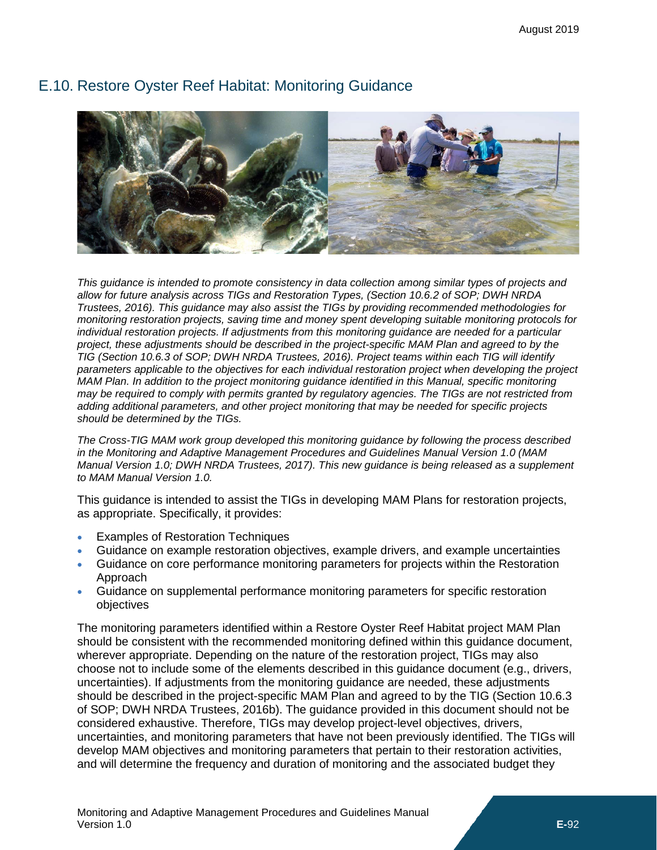<span id="page-0-0"></span>

# E.10. Restore Oyster Reef Habitat: Monitoring Guidance

*This guidance is intended to promote consistency in data collection among similar types of projects and allow for future analysis across TIGs and Restoration Types, (Section 10.6.2 of SOP; DWH NRDA Trustees, 2016). This guidance may also assist the TIGs by providing recommended methodologies for monitoring restoration projects, saving time and money spent developing suitable monitoring protocols for individual restoration projects. If adjustments from this monitoring guidance are needed for a particular project, these adjustments should be described in the project-specific MAM Plan and agreed to by the TIG (Section 10.6.3 of SOP; DWH NRDA Trustees, 2016). Project teams within each TIG will identify parameters applicable to the objectives for each individual restoration project when developing the project MAM Plan. In addition to the project monitoring guidance identified in this Manual, specific monitoring may be required to comply with permits granted by regulatory agencies. The TIGs are not restricted from adding additional parameters, and other project monitoring that may be needed for specific projects should be determined by the TIGs.*

*The Cross-TIG MAM work group developed this monitoring guidance by following the process described in the Monitoring and Adaptive Management Procedures and Guidelines Manual Version 1.0 (MAM Manual Version 1.0; DWH NRDA Trustees, 2017). This new guidance is being released as a supplement to MAM Manual Version 1.0.*

This guidance is intended to assist the TIGs in developing MAM Plans for restoration projects, as appropriate. Specifically, it provides:

- Examples of Restoration Techniques
- Guidance on example restoration objectives, example drivers, and example uncertainties
- Guidance on core performance monitoring parameters for projects within the Restoration Approach
- Guidance on supplemental performance monitoring parameters for specific restoration objectives

The monitoring parameters identified within a Restore Oyster Reef Habitat project MAM Plan should be consistent with the recommended monitoring defined within this guidance document, wherever appropriate. Depending on the nature of the restoration project, TIGs may also choose not to include some of the elements described in this guidance document (e.g., drivers, uncertainties). If adjustments from the monitoring guidance are needed, these adjustments should be described in the project-specific MAM Plan and agreed to by the TIG (Section 10.6.3 of SOP; DWH NRDA Trustees, 2016b). The guidance provided in this document should not be considered exhaustive. Therefore, TIGs may develop project-level objectives, drivers, uncertainties, and monitoring parameters that have not been previously identified. The TIGs will develop MAM objectives and monitoring parameters that pertain to their restoration activities, and will determine the frequency and duration of monitoring and the associated budget they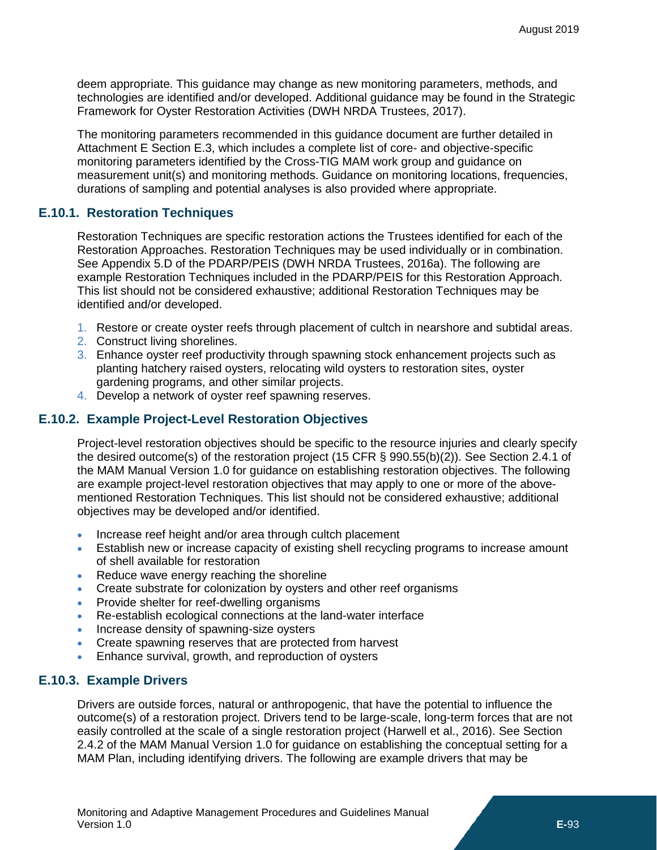deem appropriate. This guidance may change as new monitoring parameters, methods, and technologies are identified and/or developed. Additional guidance may be found in the Strategic Framework for Oyster Restoration Activities (DWH NRDA Trustees, 2017).

The monitoring parameters recommended in this guidance document are further detailed in Attachment E Section [E.3,](#page--1-0) which includes a complete list of core- and objective-specific monitoring parameters identified by the Cross-TIG MAM work group and guidance on measurement unit(s) and monitoring methods. Guidance on monitoring locations, frequencies, durations of sampling and potential analyses is also provided where appropriate.

# **E.10.1. Restoration Techniques**

Restoration Techniques are specific restoration actions the Trustees identified for each of the Restoration Approaches. Restoration Techniques may be used individually or in combination. See Appendix 5.D of the PDARP/PEIS (DWH NRDA Trustees, 2016a). The following are example Restoration Techniques included in the PDARP/PEIS for this Restoration Approach. This list should not be considered exhaustive; additional Restoration Techniques may be identified and/or developed.

- 1. Restore or create oyster reefs through placement of cultch in nearshore and subtidal areas.
- 2. Construct living shorelines.
- 3. Enhance oyster reef productivity through spawning stock enhancement projects such as planting hatchery raised oysters, relocating wild oysters to restoration sites, oyster gardening programs, and other similar projects.
- 4. Develop a network of oyster reef spawning reserves.

# **E.10.2. Example Project-Level Restoration Objectives**

Project-level restoration objectives should be specific to the resource injuries and clearly specify the desired outcome(s) of the restoration project (15 CFR § 990.55(b)(2)). See Section 2.4.1 of the MAM Manual Version 1.0 for guidance on establishing restoration objectives. The following are example project-level restoration objectives that may apply to one or more of the abovementioned Restoration Techniques. This list should not be considered exhaustive; additional objectives may be developed and/or identified.

- Increase reef height and/or area through cultch placement
- Establish new or increase capacity of existing shell recycling programs to increase amount of shell available for restoration
- Reduce wave energy reaching the shoreline
- Create substrate for colonization by oysters and other reef organisms
- Provide shelter for reef-dwelling organisms
- Re-establish ecological connections at the land-water interface
- Increase density of spawning-size oysters
- Create spawning reserves that are protected from harvest
- Enhance survival, growth, and reproduction of oysters

#### **E.10.3. Example Drivers**

Drivers are outside forces, natural or anthropogenic, that have the potential to influence the outcome(s) of a restoration project. Drivers tend to be large-scale, long-term forces that are not easily controlled at the scale of a single restoration project (Harwell et al., 2016). See Section 2.4.2 of the MAM Manual Version 1.0 for guidance on establishing the conceptual setting for a MAM Plan, including identifying drivers. The following are example drivers that may be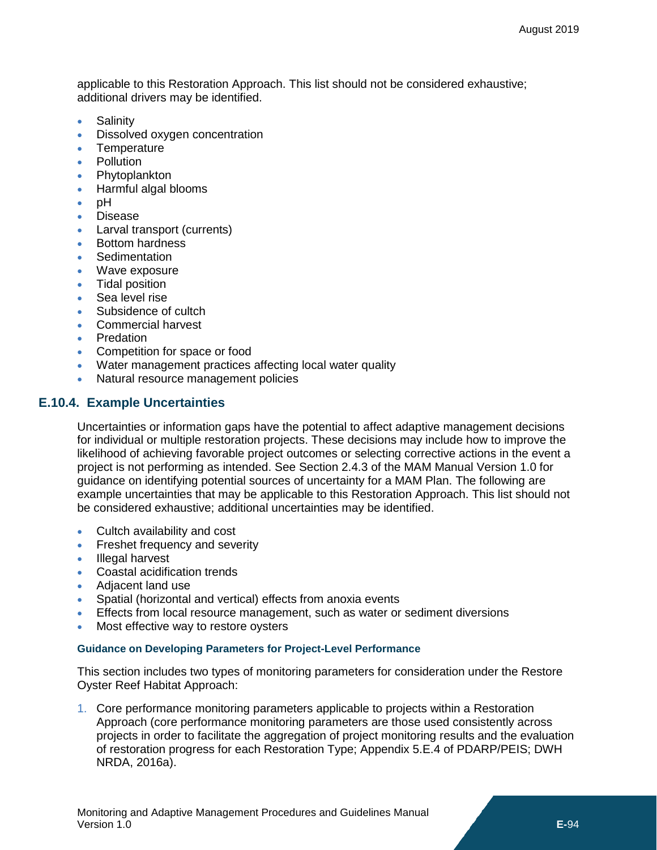applicable to this Restoration Approach. This list should not be considered exhaustive; additional drivers may be identified.

- Salinity
- Dissolved oxygen concentration
- Temperature
- Pollution
- **Phytoplankton**
- Harmful algal blooms
- pH
- Disease
- Larval transport (currents)
- Bottom hardness
- **Sedimentation**
- Wave exposure
- Tidal position
- Sea level rise
- Subsidence of cultch
- Commercial harvest
- Predation
- Competition for space or food
- Water management practices affecting local water quality
- Natural resource management policies

## **E.10.4. Example Uncertainties**

Uncertainties or information gaps have the potential to affect adaptive management decisions for individual or multiple restoration projects. These decisions may include how to improve the likelihood of achieving favorable project outcomes or selecting corrective actions in the event a project is not performing as intended. See Section 2.4.3 of the MAM Manual Version 1.0 for guidance on identifying potential sources of uncertainty for a MAM Plan. The following are example uncertainties that may be applicable to this Restoration Approach. This list should not be considered exhaustive; additional uncertainties may be identified.

- Cultch availability and cost
- Freshet frequency and severity
- Illegal harvest
- Coastal acidification trends
- Adjacent land use
- Spatial (horizontal and vertical) effects from anoxia events
- Effects from local resource management, such as water or sediment diversions
- Most effective way to restore oysters

#### **Guidance on Developing Parameters for Project-Level Performance**

This section includes two types of monitoring parameters for consideration under the Restore Oyster Reef Habitat Approach:

1. Core performance monitoring parameters applicable to projects within a Restoration Approach (core performance monitoring parameters are those used consistently across projects in order to facilitate the aggregation of project monitoring results and the evaluation of restoration progress for each Restoration Type; Appendix 5.E.4 of PDARP/PEIS; DWH NRDA, 2016a).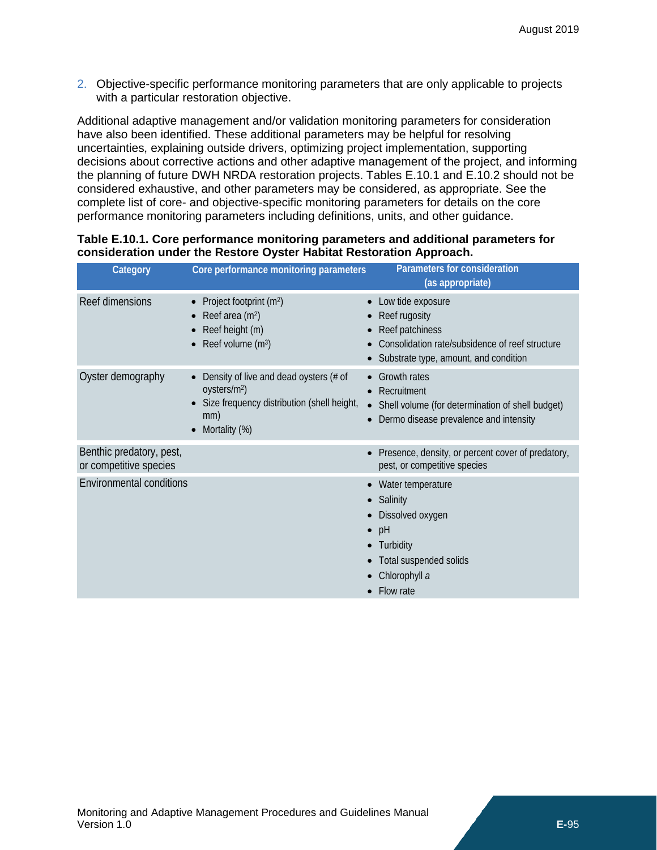2. Objective-specific performance monitoring parameters that are only applicable to projects with a particular restoration objective.

Additional adaptive management and/or validation monitoring parameters for consideration have also been identified. These additional parameters may be helpful for resolving uncertainties, explaining outside drivers, optimizing project implementation, supporting decisions about corrective actions and other adaptive management of the project, and informing the planning of future DWH NRDA restoration projects. Tables [E.10.](#page-0-0)1 and [E.10.](#page-0-0)2 should not be considered exhaustive, and other parameters may be considered, as appropriate. See the complete list of core- and objective-specific monitoring parameters for details on the core performance monitoring parameters including definitions, units, and other guidance.

| Category                                           | Core performance monitoring parameters                                                                                                                        | Parameters for consideration<br>(as appropriate)                                                                                                              |
|----------------------------------------------------|---------------------------------------------------------------------------------------------------------------------------------------------------------------|---------------------------------------------------------------------------------------------------------------------------------------------------------------|
| Reef dimensions                                    | Project footprint (m <sup>2</sup> )<br>$\bullet$<br>Reef area (m <sup>2</sup> )<br>$\bullet$<br>Reef height (m)<br>Reef volume (m <sup>3</sup> )<br>$\bullet$ | Low tide exposure<br>Reef rugosity<br>Reef patchiness<br>Consolidation rate/subsidence of reef structure<br>Substrate type, amount, and condition             |
| Oyster demography                                  | Density of live and dead oysters (# of<br>oysters/m <sup>2</sup> )<br>Size frequency distribution (shell height,<br>mm)<br>Mortality (%)<br>$\bullet$         | <b>Growth rates</b><br>Recruitment<br>Shell volume (for determination of shell budget)<br>Dermo disease prevalence and intensity                              |
| Benthic predatory, pest,<br>or competitive species |                                                                                                                                                               | Presence, density, or percent cover of predatory,<br>pest, or competitive species                                                                             |
| <b>Environmental conditions</b>                    |                                                                                                                                                               | Water temperature<br>Salinity<br>Dissolved oxygen<br>$\bullet$<br>pH<br>$\bullet$<br>Turbidity<br>Total suspended solids<br>Chlorophyll a<br><b>Flow rate</b> |

### **Table [E.10.](#page-0-0)1. Core performance monitoring parameters and additional parameters for consideration under the Restore Oyster Habitat Restoration Approach.**